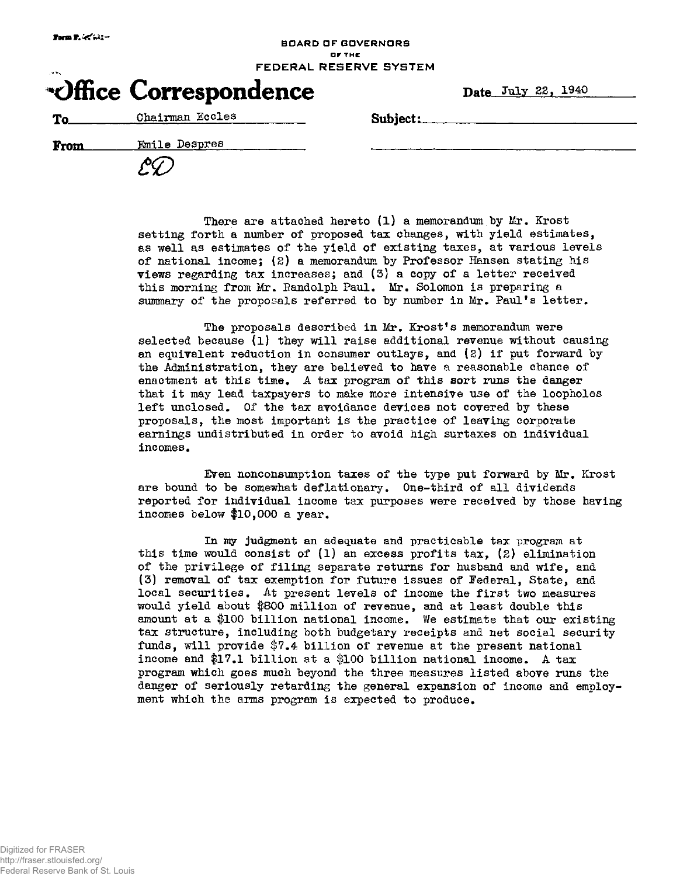## BOARD OF GOVERNORS OF THE FEDERAL RESERVE SYSTEM

| Office Correspondence | Date July 22, |
|-----------------------|---------------|
|-----------------------|---------------|

To Chairman Eccles Subject:

**From** Emile Despres

| $\mathscr{E\!}\!\mathscr{L}$ |  |
|------------------------------|--|
|------------------------------|--|

There are attached hereto (1) a memorandum by Mr, Krost setting forth a number of proposed tax changes, with yield estimates, as well as estimates of the yield of existing taxes, at various levels of national income; *(2)* a memorandum by Professor Hansen stating his views regarding tax increases; and (3) a copy of a letter received this morning from Mr. Randolph Paul, Mr. Solomon is preparing a summary of the proposals referred to by number in Mr. Paul's letter.

The proposals described in Mr. Krost's memorandum were selected because (l) they will raise additional revenue without causing an equivalent reduction in consumer outlays, and (2) if put forward by the Administration, they are believed to have a reasonable chance of enactment at this time. A tax program of this sort runs the danger that it may lead taxpayers to make more intensive use of the loopholes left unclosed. Of the tax avoidance devices not covered by these proposals, the most important is the practice of leaving corporate earnings undistributed in order to avoid high surtaxes on individual incomes.

Even nonconsumption taxes of the type put forward by Mr. Krost are bound to be somewhat deflationary. One-third of all dividends reported for individual income tax purposes were received by those having incomes below #10,000 a year.

In my judgment an adequate and practicable tax program at this time would consist of (l) an excess profits tax, (2) elimination of the privilege of filing separate returns for husband and wife, and (3) removal of tax exemption for future issues of Federal, State, and local securities. At present levels of income the first two measures would yield about #800 million of revenue, and at least double this amount at a #100 billion national income. We estimate that our existing tax structure, including both budgetary receipts and net social security funds, will provide  $$7.4$  billion of revenue at the present national income and #17.1 billion at a #100 billion national income. A tax program which goes much beyond the three measures listed above runs the danger of seriously retarding the general expansion of income and employment which the arms program is expected to produce.